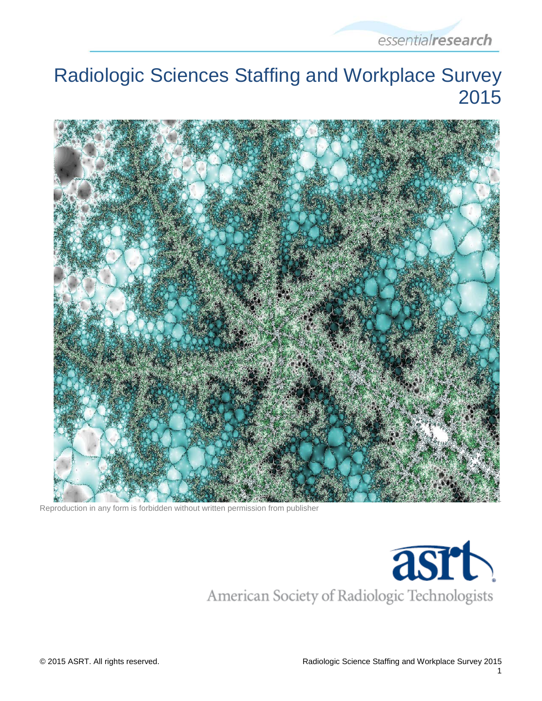

# Radiologic Sciences Staffing and Workplace Survey 2015



Reproduction in any form is forbidden without written permission from publisher

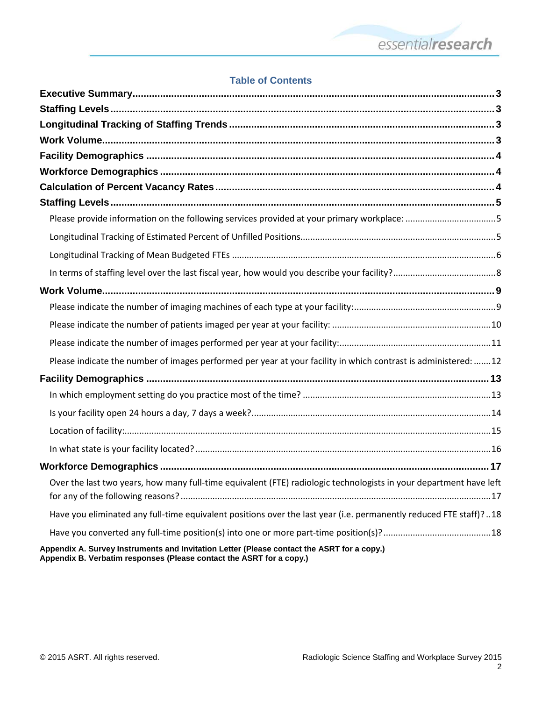

#### **Table of Contents**

| Please indicate the number of images performed per year at your facility in which contrast is administered: 12     |  |
|--------------------------------------------------------------------------------------------------------------------|--|
|                                                                                                                    |  |
|                                                                                                                    |  |
|                                                                                                                    |  |
|                                                                                                                    |  |
|                                                                                                                    |  |
|                                                                                                                    |  |
| Over the last two years, how many full-time equivalent (FTE) radiologic technologists in your department have left |  |
| Have you eliminated any full-time equivalent positions over the last year (i.e. permanently reduced FTE staff)?18  |  |
|                                                                                                                    |  |
| Appendix A. Survey Instruments and Invitation Letter (Please contact the ASRT for a copy.)                         |  |

**Appendix B. Verbatim responses (Please contact the ASRT for a copy.)**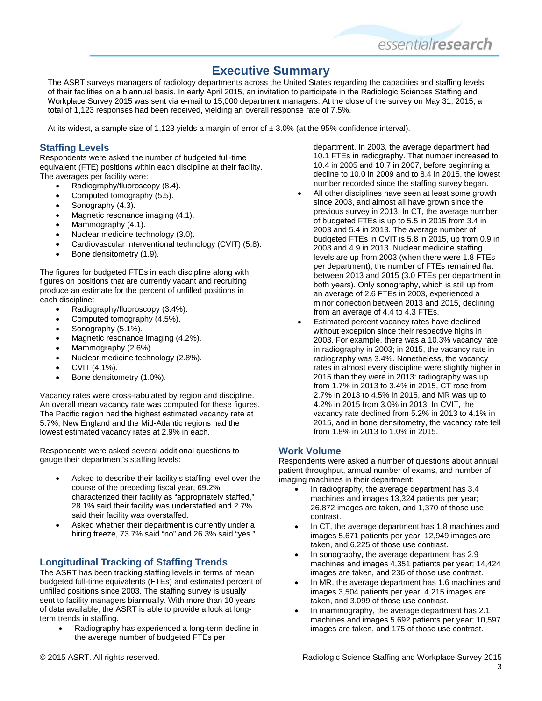

#### **Executive Summary**

<span id="page-2-0"></span>The ASRT surveys managers of radiology departments across the United States regarding the capacities and staffing levels of their facilities on a biannual basis. In early April 2015, an invitation to participate in the Radiologic Sciences Staffing and Workplace Survey 2015 was sent via e-mail to 15,000 department managers. At the close of the survey on May 31, 2015, a total of 1,123 responses had been received, yielding an overall response rate of 7.5%.

At its widest, a sample size of 1,123 yields a margin of error of  $\pm 3.0\%$  (at the 95% confidence interval).

#### <span id="page-2-1"></span>**Staffing Levels**

Respondents were asked the number of budgeted full-time equivalent (FTE) positions within each discipline at their facility. The averages per facility were:

- Radiography/fluoroscopy (8.4).
- Computed tomography (5.5).
- Sonography (4.3).
- Magnetic resonance imaging (4.1).
- Mammography (4.1).
- Nuclear medicine technology (3.0).
- Cardiovascular interventional technology (CVIT) (5.8).
- Bone densitometry (1.9).

The figures for budgeted FTEs in each discipline along with figures on positions that are currently vacant and recruiting produce an estimate for the percent of unfilled positions in each discipline:

- Radiography/fluoroscopy (3.4%).
- Computed tomography (4.5%).
- Sonography (5.1%).
- Magnetic resonance imaging (4.2%).
- Mammography (2.6%).
- Nuclear medicine technology (2.8%).
- CVIT (4.1%).
- Bone densitometry (1.0%).

Vacancy rates were cross-tabulated by region and discipline. An overall mean vacancy rate was computed for these figures. The Pacific region had the highest estimated vacancy rate at 5.7%; New England and the Mid-Atlantic regions had the lowest estimated vacancy rates at 2.9% in each.

Respondents were asked several additional questions to gauge their department's staffing levels:

- Asked to describe their facility's staffing level over the course of the preceding fiscal year, 69.2% characterized their facility as "appropriately staffed," 28.1% said their facility was understaffed and 2.7% said their facility was overstaffed.
- Asked whether their department is currently under a hiring freeze, 73.7% said "no" and 26.3% said "yes."

#### <span id="page-2-2"></span>**Longitudinal Tracking of Staffing Trends**

The ASRT has been tracking staffing levels in terms of mean budgeted full-time equivalents (FTEs) and estimated percent of unfilled positions since 2003. The staffing survey is usually sent to facility managers biannually. With more than 10 years of data available, the ASRT is able to provide a look at longterm trends in staffing.

• Radiography has experienced a long-term decline in the average number of budgeted FTEs per

department. In 2003, the average department had 10.1 FTEs in radiography. That number increased to 10.4 in 2005 and 10.7 in 2007, before beginning a decline to 10.0 in 2009 and to 8.4 in 2015, the lowest number recorded since the staffing survey began.

- All other disciplines have seen at least some growth since 2003, and almost all have grown since the previous survey in 2013. In CT, the average number of budgeted FTEs is up to 5.5 in 2015 from 3.4 in 2003 and 5.4 in 2013. The average number of budgeted FTEs in CVIT is 5.8 in 2015, up from 0.9 in 2003 and 4.9 in 2013. Nuclear medicine staffing levels are up from 2003 (when there were 1.8 FTEs per department), the number of FTEs remained flat between 2013 and 2015 (3.0 FTEs per department in both years). Only sonography, which is still up from an average of 2.6 FTEs in 2003, experienced a minor correction between 2013 and 2015, declining from an average of 4.4 to 4.3 FTEs.
- Estimated percent vacancy rates have declined without exception since their respective highs in 2003. For example, there was a 10.3% vacancy rate in radiography in 2003; in 2015, the vacancy rate in radiography was 3.4%. Nonetheless, the vacancy rates in almost every discipline were slightly higher in 2015 than they were in 2013: radiography was up from 1.7% in 2013 to 3.4% in 2015, CT rose from 2.7% in 2013 to 4.5% in 2015, and MR was up to 4.2% in 2015 from 3.0% in 2013. In CVIT, the vacancy rate declined from 5.2% in 2013 to 4.1% in 2015, and in bone densitometry, the vacancy rate fell from 1.8% in 2013 to 1.0% in 2015.

#### <span id="page-2-3"></span>**Work Volume**

Respondents were asked a number of questions about annual patient throughput, annual number of exams, and number of imaging machines in their department:

- In radiography, the average department has 3.4 machines and images 13,324 patients per year; 26,872 images are taken, and 1,370 of those use contrast.
- In CT, the average department has 1.8 machines and images 5,671 patients per year; 12,949 images are taken, and 6,225 of those use contrast.
- In sonography, the average department has 2.9 machines and images 4,351 patients per year; 14,424 images are taken, and 236 of those use contrast.
- In MR, the average department has 1.6 machines and images 3,504 patients per year; 4,215 images are taken, and 3,099 of those use contrast.
- In mammography, the average department has 2.1 machines and images 5,692 patients per year; 10,597 images are taken, and 175 of those use contrast.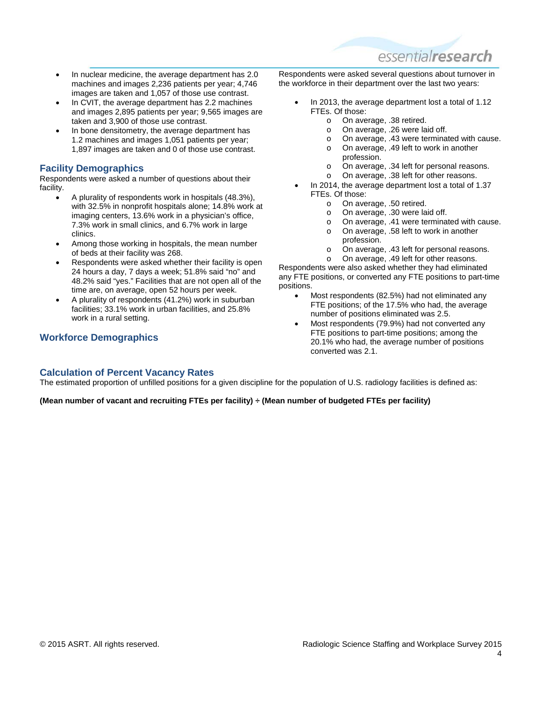

- In nuclear medicine, the average department has 2.0 machines and images 2,236 patients per year; 4,746 images are taken and 1,057 of those use contrast.
- In CVIT, the average department has 2.2 machines and images 2,895 patients per year; 9,565 images are taken and 3,900 of those use contrast.
- In bone densitometry, the average department has 1.2 machines and images 1,051 patients per year; 1,897 images are taken and 0 of those use contrast.

#### <span id="page-3-0"></span>**Facility Demographics**

Respondents were asked a number of questions about their facility.

- A plurality of respondents work in hospitals (48.3%), with 32.5% in nonprofit hospitals alone; 14.8% work at imaging centers, 13.6% work in a physician's office, 7.3% work in small clinics, and 6.7% work in large clinics.
- Among those working in hospitals, the mean number of beds at their facility was 268.
- Respondents were asked whether their facility is open 24 hours a day, 7 days a week; 51.8% said "no" and 48.2% said "yes." Facilities that are not open all of the time are, on average, open 52 hours per week.
- A plurality of respondents (41.2%) work in suburban facilities; 33.1% work in urban facilities, and 25.8% work in a rural setting.

#### <span id="page-3-1"></span>**Workforce Demographics**

Respondents were asked several questions about turnover in the workforce in their department over the last two years:

- In 2013, the average department lost a total of 1.12 FTEs. Of those:
	- o On average, .38 retired.<br>
	o On average, .26 were lai
	- o On average, .26 were laid off.<br>
	o On average, .43 were termina
	- $\circ$  On average, .43 were terminated with cause.<br>  $\circ$  On average, .49 left to work in another
	- On average, .49 left to work in another profession.
	- o On average, .34 left for personal reasons.<br>
	o On average. .38 left for other reasons.
	- On average, .38 left for other reasons.
- In 2014, the average department lost a total of 1.37 FTEs. Of those:
	- o On average, .50 retired.<br>
	o On average, .30 were lai
	- o On average, .30 were laid off.<br>  $\Omega$  On average 41 were terminare
	- $\circ$  On average, .41 were terminated with cause.<br> $\circ$  On average. .58 left to work in another
	- On average, .58 left to work in another profession.
	- o On average, .43 left for personal reasons.
	- o On average, .49 left for other reasons.

Respondents were also asked whether they had eliminated any FTE positions, or converted any FTE positions to part-time positions.

- Most respondents (82.5%) had not eliminated any FTE positions; of the 17.5% who had, the average number of positions eliminated was 2.5.
- Most respondents (79.9%) had not converted any FTE positions to part-time positions; among the 20.1% who had, the average number of positions converted was 2.1.

#### <span id="page-3-2"></span>**Calculation of Percent Vacancy Rates**

The estimated proportion of unfilled positions for a given discipline for the population of U.S. radiology facilities is defined as:

**(Mean number of vacant and recruiting FTEs per facility) ÷ (Mean number of budgeted FTEs per facility)**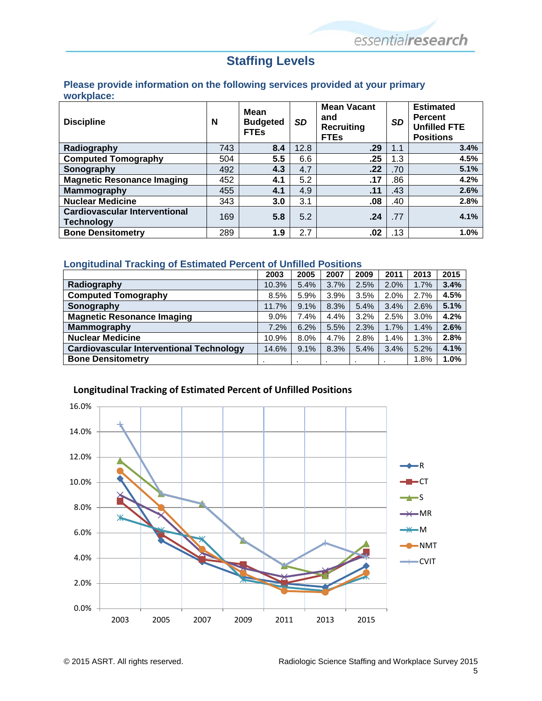## **Staffing Levels**

#### <span id="page-4-1"></span><span id="page-4-0"></span>**Please provide information on the following services provided at your primary workplace:**

| <b>Discipline</b>                                         | N   | <b>Mean</b><br><b>Budgeted</b><br><b>FTEs</b> | <b>SD</b> | <b>Mean Vacant</b><br>and<br><b>Recruiting</b><br><b>FTEs</b> | <b>SD</b> | <b>Estimated</b><br><b>Percent</b><br><b>Unfilled FTE</b><br><b>Positions</b> |
|-----------------------------------------------------------|-----|-----------------------------------------------|-----------|---------------------------------------------------------------|-----------|-------------------------------------------------------------------------------|
| Radiography                                               | 743 | 8.4                                           | 12.8      | .29                                                           | 1.1       | 3.4%                                                                          |
| <b>Computed Tomography</b>                                | 504 | 5.5                                           | 6.6       | .25                                                           | 1.3       | 4.5%                                                                          |
| Sonography                                                | 492 | 4.3                                           | 4.7       | .22                                                           | .70       | 5.1%                                                                          |
| <b>Magnetic Resonance Imaging</b>                         | 452 | 4.1                                           | 5.2       | .17                                                           | .86       | 4.2%                                                                          |
| Mammography                                               | 455 | 4.1                                           | 4.9       | .11                                                           | .43       | 2.6%                                                                          |
| <b>Nuclear Medicine</b>                                   | 343 | 3.0                                           | 3.1       | .08                                                           | .40       | 2.8%                                                                          |
| <b>Cardiovascular Interventional</b><br><b>Technology</b> | 169 | 5.8                                           | 5.2       | .24                                                           | .77       | 4.1%                                                                          |
| <b>Bone Densitometry</b>                                  | 289 | 1.9                                           | 2.7       | .02                                                           | .13       | 1.0%                                                                          |

#### <span id="page-4-2"></span>**Longitudinal Tracking of Estimated Percent of Unfilled Positions**

|                                                 | 2003    | 2005 | 2007 | 2009 | 2011 | 2013 | 2015 |
|-------------------------------------------------|---------|------|------|------|------|------|------|
| Radiography                                     | 10.3%   | 5.4% | 3.7% | 2.5% | 2.0% | 1.7% | 3.4% |
| <b>Computed Tomography</b>                      | 8.5%    | 5.9% | 3.9% | 3.5% | 2.0% | 2.7% | 4.5% |
| Sonography                                      | 11.7%   | 9.1% | 8.3% | 5.4% | 3.4% | 2.6% | 5.1% |
| <b>Magnetic Resonance Imaging</b>               | $9.0\%$ | 7.4% | 4.4% | 3.2% | 2.5% | 3.0% | 4.2% |
| Mammography                                     | 7.2%    | 6.2% | 5.5% | 2.3% | 1.7% | 1.4% | 2.6% |
| <b>Nuclear Medicine</b>                         | 10.9%   | 8.0% | 4.7% | 2.8% | 1.4% | 1.3% | 2.8% |
| <b>Cardiovascular Interventional Technology</b> | 14.6%   | 9.1% | 8.3% | 5.4% | 3.4% | 5.2% | 4.1% |
| <b>Bone Densitometry</b>                        |         |      |      |      |      | 1.8% | 1.0% |



#### **Longitudinal Tracking of Estimated Percent of Unfilled Positions**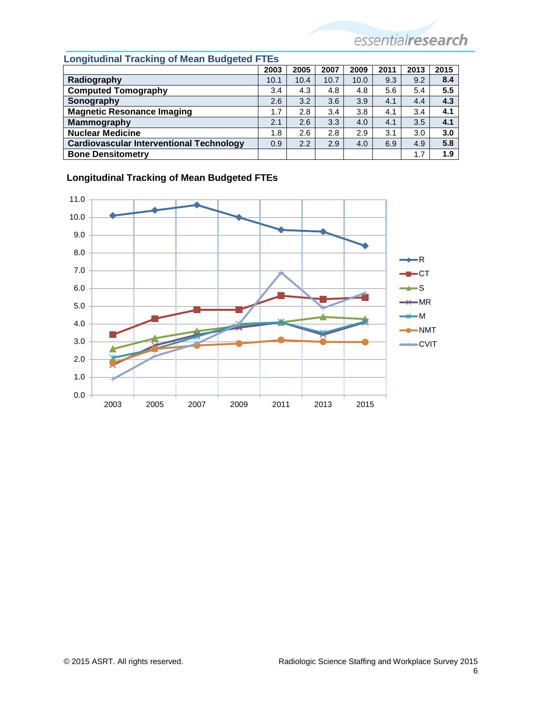<span id="page-5-0"></span>

| <b>Longitudinal Tracking of Mean Budgeted FTEs</b> |      |      |      |      |      |      |      |  |
|----------------------------------------------------|------|------|------|------|------|------|------|--|
|                                                    | 2003 | 2005 | 2007 | 2009 | 2011 | 2013 | 2015 |  |
| Radiography                                        | 10.1 | 10.4 | 10.7 | 10.0 | 9.3  | 9.2  | 8.4  |  |
| <b>Computed Tomography</b>                         | 3.4  | 4.3  | 4.8  | 4.8  | 5.6  | 5.4  | 5.5  |  |
| Sonography                                         | 2.6  | 3.2  | 3.6  | 3.9  | 4.1  | 4.4  | 4.3  |  |
| <b>Magnetic Resonance Imaging</b>                  | 1.7  | 2.8  | 3.4  | 3.8  | 4.1  | 3.4  | 4.1  |  |
| <b>Mammography</b>                                 | 2.1  | 2.6  | 3.3  | 4.0  | 4.1  | 3.5  | 4.1  |  |
| <b>Nuclear Medicine</b>                            | 1.8  | 2.6  | 2.8  | 2.9  | 3.1  | 3.0  | 3.0  |  |
| <b>Cardiovascular Interventional Technology</b>    | 0.9  | 2.2  | 2.9  | 4.0  | 6.9  | 4.9  | 5.8  |  |
| <b>Bone Densitometry</b>                           |      |      |      |      |      | 1.7  | 1.9  |  |

# 9.0 10.0 11.0



#### **Longitudinal Tracking of Mean Budgeted FTEs**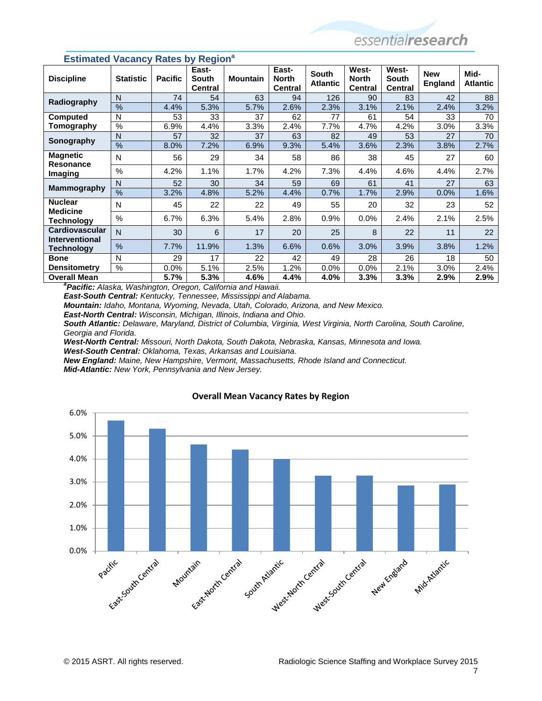| <b>Discipline</b>                                                        | <b>Statistic</b>         | $\cdots$<br><b>Pacific</b> | $\cdots$<br>East-<br><b>South</b><br><b>Central</b> | <b>Mountain</b> | East-<br><b>North</b><br><b>Central</b> | <b>South</b><br><b>Atlantic</b> | West-<br><b>North</b><br><b>Central</b> | West-<br><b>South</b><br><b>Central</b> | <b>New</b><br><b>England</b> | Mid-<br><b>Atlantic</b> |
|--------------------------------------------------------------------------|--------------------------|----------------------------|-----------------------------------------------------|-----------------|-----------------------------------------|---------------------------------|-----------------------------------------|-----------------------------------------|------------------------------|-------------------------|
| Radiography                                                              | N                        | 74                         | 54                                                  | 63              | 94                                      | 126                             | 90                                      | 83                                      | 42                           | 88                      |
|                                                                          | %                        | 4.4%                       | 5.3%                                                | 5.7%            | 2.6%                                    | 2.3%                            | 3.1%                                    | 2.1%                                    | 2.4%                         | 3.2%                    |
| <b>Computed</b>                                                          | N                        | 53                         | 33                                                  | 37              | 62                                      | 77                              | 61                                      | 54                                      | 33                           | 70                      |
| Tomography                                                               | $\%$                     | 6.9%                       | 4.4%                                                | 3.3%            | 2.4%                                    | 7.7%                            | 4.7%                                    | 4.2%                                    | 3.0%                         | 3.3%                    |
| Sonography                                                               | N                        | 57                         | 32                                                  | 37              | 63                                      | 82                              | 49                                      | 53                                      | 27                           | 70                      |
|                                                                          | $\overline{\frac{9}{6}}$ | 8.0%                       | 7.2%                                                | 6.9%            | 9.3%                                    | 5.4%                            | 3.6%                                    | 2.3%                                    | 3.8%                         | 2.7%                    |
| <b>Magnetic</b><br><b>Resonance</b>                                      | N                        | 56                         | 29                                                  | 34              | 58                                      | 86                              | 38                                      | 45                                      | 27                           | 60                      |
| Imaging                                                                  | $\%$                     | 4.2%                       | 1.1%                                                | 1.7%            | 4.2%                                    | 7.3%                            | 4.4%                                    | 4.6%                                    | 4.4%                         | 2.7%                    |
| <b>Mammography</b>                                                       | N                        | 52                         | 30                                                  | 34              | 59                                      | 69                              | 61                                      | 41                                      | 27                           | 63                      |
|                                                                          | $\frac{0}{0}$            | 3.2%                       | 4.8%                                                | 5.2%            | 4.4%                                    | 0.7%                            | 1.7%                                    | 2.9%                                    | 0.0%                         | 1.6%                    |
| <b>Nuclear</b><br><b>Medicine</b>                                        | N                        | 45                         | 22                                                  | 22              | 49                                      | 55                              | 20                                      | 32                                      | 23                           | 52                      |
| <b>Technology</b>                                                        | $\%$                     | 6.7%                       | 6.3%                                                | 5.4%            | 2.8%                                    | 0.9%                            | 0.0%                                    | 2.4%                                    | 2.1%                         | 2.5%                    |
| <b>Cardiovascular</b><br><b>Interventional</b>                           | N                        | 30                         | 6                                                   | 17              | 20                                      | 25                              | 8                                       | 22                                      | 11                           | 22                      |
| Technology                                                               | $\frac{0}{0}$            | 7.7%                       | 11.9%                                               | 1.3%            | 6.6%                                    | 0.6%                            | 3.0%                                    | 3.9%                                    | 3.8%                         | 1.2%                    |
| <b>Bone</b>                                                              | N                        | 29                         | 17                                                  | 22              | 42                                      | 49                              | 28                                      | 26                                      | 18                           | 50                      |
| <b>Densitometry</b>                                                      | %                        | 0.0%                       | 5.1%                                                | 2.5%            | 1.2%                                    | 0.0%                            | 0.0%                                    | 2.1%                                    | 3.0%                         | 2.4%                    |
| <b>Overall Mean</b>                                                      |                          | 5.7%                       | 5.3%                                                | 4.6%            | 4.4%                                    | 4.0%                            | $3.3\%$                                 | 3.3%                                    | 2.9%                         | $2.9\%$                 |
| <sup>a</sup> Pacific: Alaska, Washington, Oregon, California and Hawaii. |                          |                            |                                                     |                 |                                         |                                 |                                         |                                         |                              |                         |

#### **Estimated Vacancy Rates by Region<sup>a</sup>**

*East-South Central: Kentucky, Tennessee, Mississippi and Alabama.*

*Mountain: Idaho, Montana, Wyoming, Nevada, Utah, Colorado, Arizona, and New Mexico.*

*East-North Central: Wisconsin, Michigan, Illinois, Indiana and Ohio.*

*South Atlantic: Delaware, Maryland, District of Columbia, Virginia, West Virginia, North Carolina, South Caroline, Georgia and Florida.*

*West-North Central: Missouri, North Dakota, South Dakota, Nebraska, Kansas, Minnesota and Iowa.*

*West-South Central: Oklahoma, Texas, Arkansas and Louisiana.*

*New England: Maine, New Hampshire, Vermont, Massachusetts, Rhode Island and Connecticut. Mid-Atlantic: New York, Pennsylvania and New Jersey.*



#### **Overall Mean Vacancy Rates by Region**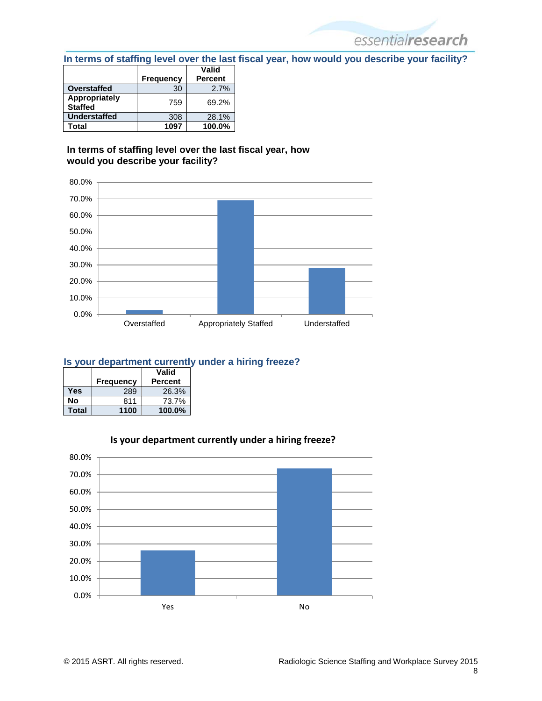<span id="page-7-0"></span>**In terms of staffing level over the last fiscal year, how would you describe your facility?**

essentialresearch

|                                 |                  | Valid          |
|---------------------------------|------------------|----------------|
|                                 | <b>Frequency</b> | <b>Percent</b> |
| <b>Overstaffed</b>              | 30               | 2.7%           |
| Appropriately<br><b>Staffed</b> | 759              | 69.2%          |
| <b>Understaffed</b>             | 308              | 28.1%          |
| Total                           | 1097             | 100.0%         |

#### **In terms of staffing level over the last fiscal year, how would you describe your facility?**



#### **Is your department currently under a hiring freeze?**

|       |           | Valid          |
|-------|-----------|----------------|
|       | Frequency | <b>Percent</b> |
| Yes   | 289       | 26.3%          |
| Nο    | 811       | 73.7%          |
| Total | 1100      | 100.0%         |



#### **Is your department currently under a hiring freeze?**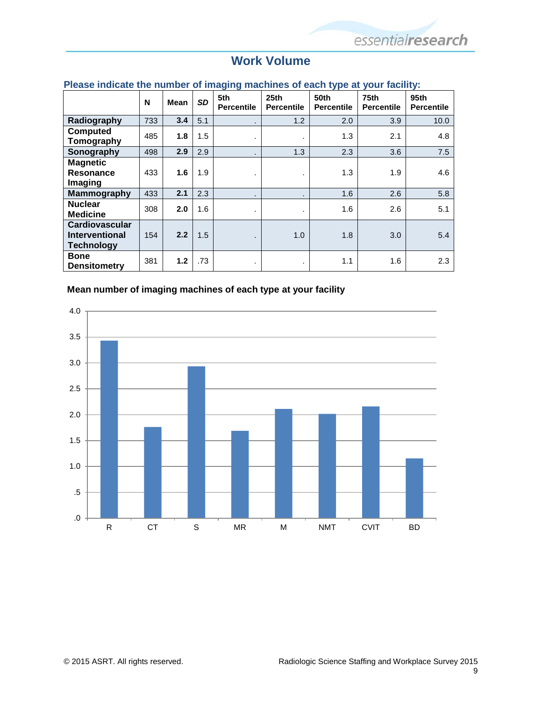## **Work Volume**

#### <span id="page-8-1"></span><span id="page-8-0"></span>**Please indicate the number of imaging machines of each type at your facility:**

|                                                              | N   | <b>Mean</b> | <b>SD</b> | ັ<br>$\tilde{\phantom{a}}$<br>5th<br><b>Percentile</b> | 25 <sub>th</sub><br><b>Percentile</b> | ◢<br>50th<br><b>Percentile</b> | 75th<br><b>Percentile</b> | 95th<br><b>Percentile</b> |
|--------------------------------------------------------------|-----|-------------|-----------|--------------------------------------------------------|---------------------------------------|--------------------------------|---------------------------|---------------------------|
| Radiography                                                  | 733 | 3.4         | 5.1       |                                                        | 1.2                                   | 2.0                            | 3.9                       | 10.0                      |
| <b>Computed</b><br>Tomography                                | 485 | 1.8         | 1.5       | ٠                                                      | ٠.                                    | 1.3                            | 2.1                       | 4.8                       |
| Sonography                                                   | 498 | 2.9         | 2.9       |                                                        | 1.3                                   | 2.3                            | 3.6                       | 7.5                       |
| <b>Magnetic</b><br>Resonance<br>Imaging                      | 433 | 1.6         | 1.9       | ٠                                                      | ٠.                                    | 1.3                            | 1.9                       | 4.6                       |
| Mammography                                                  | 433 | 2.1         | 2.3       |                                                        |                                       | 1.6                            | 2.6                       | 5.8                       |
| <b>Nuclear</b><br><b>Medicine</b>                            | 308 | 2.0         | 1.6       | ٠                                                      | $\blacksquare$                        | 1.6                            | 2.6                       | 5.1                       |
| Cardiovascular<br><b>Interventional</b><br><b>Technology</b> | 154 | 2.2         | 1.5       | ٠.                                                     | 1.0                                   | 1.8                            | 3.0                       | 5.4                       |
| <b>Bone</b><br><b>Densitometry</b>                           | 381 | 1.2         | .73       | ٠                                                      |                                       | 1.1                            | 1.6                       | 2.3                       |

#### **Mean number of imaging machines of each type at your facility**

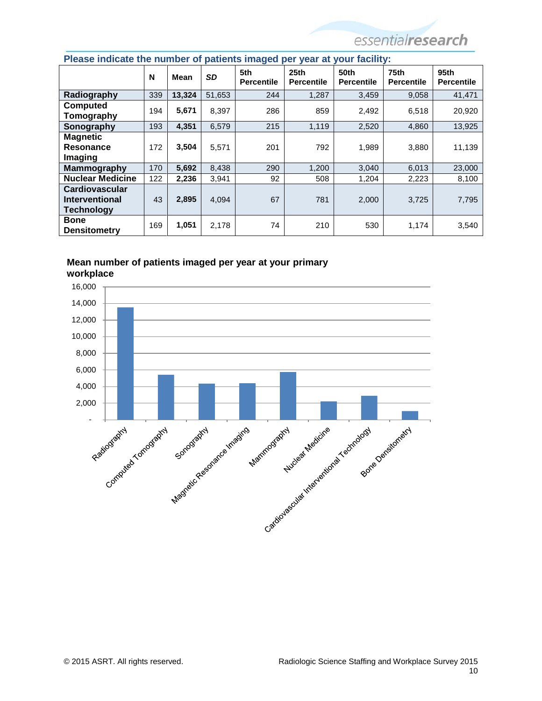| <b>There</b> individually the number of patients intuged por your at your racinty. |     |             |           |                          |                                       |                                  |                                       |                                       |
|------------------------------------------------------------------------------------|-----|-------------|-----------|--------------------------|---------------------------------------|----------------------------------|---------------------------------------|---------------------------------------|
|                                                                                    | N   | <b>Mean</b> | <b>SD</b> | 5th<br><b>Percentile</b> | 25 <sub>th</sub><br><b>Percentile</b> | <b>50th</b><br><b>Percentile</b> | 75 <sub>th</sub><br><b>Percentile</b> | 95 <sub>th</sub><br><b>Percentile</b> |
| Radiography                                                                        | 339 | 13,324      | 51,653    | 244                      | 1,287                                 | 3,459                            | 9,058                                 | 41,471                                |
| <b>Computed</b><br>Tomography                                                      | 194 | 5,671       | 8,397     | 286                      | 859                                   | 2,492                            | 6,518                                 | 20,920                                |
| Sonography                                                                         | 193 | 4.351       | 6,579     | 215                      | 1,119                                 | 2,520                            | 4,860                                 | 13,925                                |
| <b>Magnetic</b><br>Resonance<br>Imaging                                            | 172 | 3,504       | 5,571     | 201                      | 792                                   | 1.989                            | 3,880                                 | 11,139                                |
| <b>Mammography</b>                                                                 | 170 | 5,692       | 8,438     | 290                      | 1,200                                 | 3,040                            | 6,013                                 | 23,000                                |
| <b>Nuclear Medicine</b>                                                            | 122 | 2,236       | 3,941     | 92                       | 508                                   | 1,204                            | 2,223                                 | 8,100                                 |
| Cardiovascular<br><b>Interventional</b><br>Technology                              | 43  | 2,895       | 4,094     | 67                       | 781                                   | 2,000                            | 3,725                                 | 7,795                                 |
| <b>Bone</b><br><b>Densitometry</b>                                                 | 169 | 1,051       | 2,178     | 74                       | 210                                   | 530                              | 1,174                                 | 3,540                                 |

#### <span id="page-9-0"></span>**Please indicate the number of patients imaged per year at your facility:**



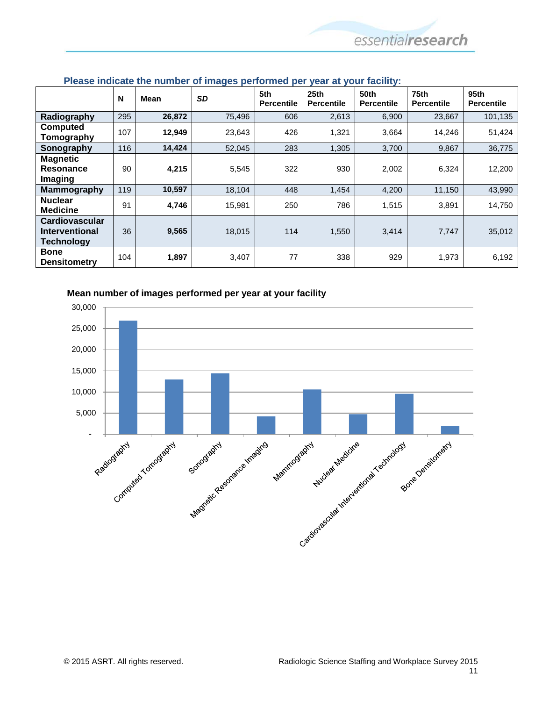|                                                              | N   | Mean   | <b>SD</b> | 5th<br><b>Percentile</b> | 25 <sub>th</sub><br><b>Percentile</b> | <b>50th</b><br><b>Percentile</b> | 75th<br><b>Percentile</b> | 95th<br><b>Percentile</b> |
|--------------------------------------------------------------|-----|--------|-----------|--------------------------|---------------------------------------|----------------------------------|---------------------------|---------------------------|
| Radiography                                                  | 295 | 26,872 | 75,496    | 606                      | 2,613                                 | 6,900                            | 23,667                    | 101,135                   |
| <b>Computed</b><br>Tomography                                | 107 | 12,949 | 23,643    | 426                      | 1,321                                 | 3,664                            | 14,246                    | 51,424                    |
| Sonography                                                   | 116 | 14,424 | 52,045    | 283                      | 1,305                                 | 3,700                            | 9,867                     | 36,775                    |
| <b>Magnetic</b><br>Resonance<br>Imaging                      | 90  | 4,215  | 5,545     | 322                      | 930                                   | 2,002                            | 6,324                     | 12,200                    |
| <b>Mammography</b>                                           | 119 | 10,597 | 18,104    | 448                      | 1,454                                 | 4,200                            | 11,150                    | 43,990                    |
| <b>Nuclear</b><br><b>Medicine</b>                            | 91  | 4,746  | 15,981    | 250                      | 786                                   | 1,515                            | 3,891                     | 14,750                    |
| <b>Cardiovascular</b><br>Interventional<br><b>Technology</b> | 36  | 9,565  | 18,015    | 114                      | 1,550                                 | 3,414                            | 7,747                     | 35,012                    |
| <b>Bone</b><br><b>Densitometry</b>                           | 104 | 1,897  | 3,407     | 77                       | 338                                   | 929                              | 1,973                     | 6,192                     |

#### <span id="page-10-0"></span>**Please indicate the number of images performed per year at your facility:**



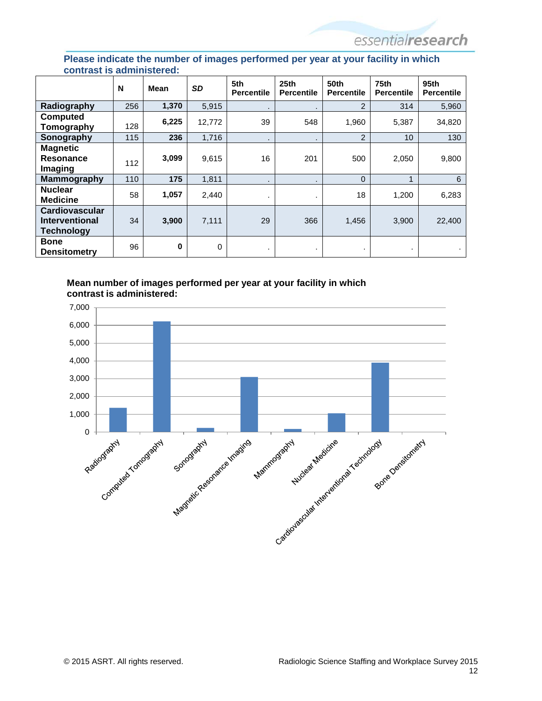#### <span id="page-11-0"></span>**Please indicate the number of images performed per year at your facility in which contrast is administered:**

|                                                       | N   | <b>Mean</b> | <b>SD</b>   | 5th<br><b>Percentile</b> | 25 <sub>th</sub><br><b>Percentile</b> | 50th<br><b>Percentile</b> | 75 <sub>th</sub><br><b>Percentile</b> | 95 <sub>th</sub><br><b>Percentile</b> |
|-------------------------------------------------------|-----|-------------|-------------|--------------------------|---------------------------------------|---------------------------|---------------------------------------|---------------------------------------|
| Radiography                                           | 256 | 1,370       | 5,915       | $\bullet$                | $\cdot$                               | 2                         | 314                                   | 5,960                                 |
| Computed<br>Tomography                                | 128 | 6,225       | 12,772      | 39                       | 548                                   | 1,960                     | 5,387                                 | 34,820                                |
| Sonography                                            | 115 | 236         | 1,716       | ٠                        | ٠                                     | 2                         | 10                                    | 130                                   |
| <b>Magnetic</b><br><b>Resonance</b><br>Imaging        | 112 | 3,099       | 9,615       | 16                       | 201                                   | 500                       | 2,050                                 | 9,800                                 |
| <b>Mammography</b>                                    | 110 | 175         | 1,811       | $\cdot$                  | $\bullet$                             | $\Omega$                  | 1                                     | 6                                     |
| <b>Nuclear</b><br><b>Medicine</b>                     | 58  | 1,057       | 2.440       |                          | ٠                                     | 18                        | 1,200                                 | 6,283                                 |
| Cardiovascular<br>Interventional<br><b>Technology</b> | 34  | 3,900       | 7,111       | 29                       | 366                                   | 1,456                     | 3,900                                 | 22,400                                |
| <b>Bone</b><br><b>Densitometry</b>                    | 96  | 0           | $\mathbf 0$ | ٠                        | ٠                                     |                           |                                       |                                       |

#### **Mean number of images performed per year at your facility in which contrast is administered:**

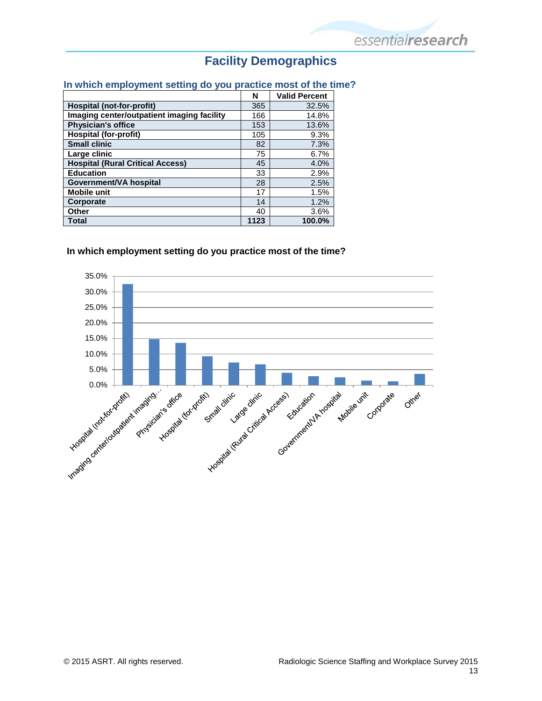## **Facility Demographics**

#### <span id="page-12-1"></span><span id="page-12-0"></span>**In which employment setting do you practice most of the time?**

|                                            | N    | <b>Valid Percent</b> |
|--------------------------------------------|------|----------------------|
| Hospital (not-for-profit)                  | 365  | 32.5%                |
| Imaging center/outpatient imaging facility | 166  | 14.8%                |
| <b>Physician's office</b>                  | 153  | 13.6%                |
| <b>Hospital (for-profit)</b>               | 105  | 9.3%                 |
| <b>Small clinic</b>                        | 82   | 7.3%                 |
| Large clinic                               | 75   | 6.7%                 |
| <b>Hospital (Rural Critical Access)</b>    | 45   | 4.0%                 |
| <b>Education</b>                           | 33   | 2.9%                 |
| Government/VA hospital                     | 28   | 2.5%                 |
| <b>Mobile unit</b>                         | 17   | 1.5%                 |
| Corporate                                  | 14   | 1.2%                 |
| Other                                      | 40   | 3.6%                 |
| <b>Total</b>                               | 1123 | 100.0%               |

#### **In which employment setting do you practice most of the time?**

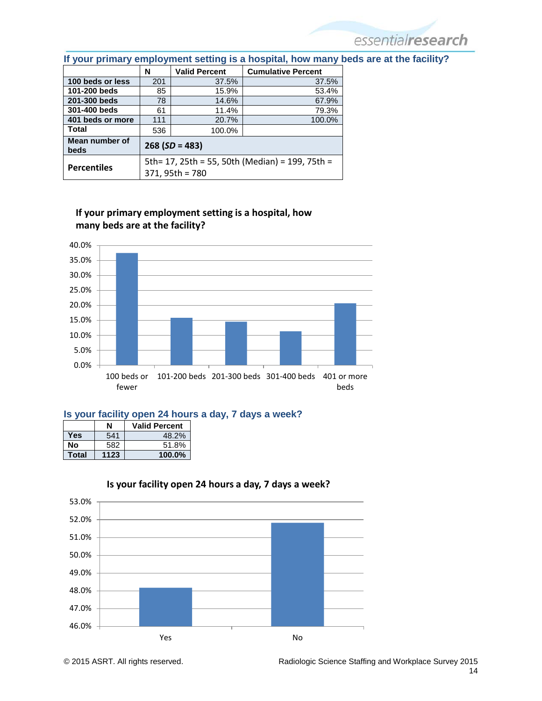|                        | N                                               | <b>Valid Percent</b> | <b>Cumulative Percent</b> |  |  |  |  |
|------------------------|-------------------------------------------------|----------------------|---------------------------|--|--|--|--|
| 100 beds or less       | 201                                             | 37.5%                | 37.5%                     |  |  |  |  |
| 101-200 beds           | 85                                              | 15.9%                | 53.4%                     |  |  |  |  |
| 201-300 beds           | 78                                              | 14.6%                | 67.9%                     |  |  |  |  |
| 301-400 beds           | 61                                              | 11.4%                | 79.3%                     |  |  |  |  |
| 401 beds or more       | 111                                             | 20.7%                | 100.0%                    |  |  |  |  |
| Total                  | 536                                             | 100.0%               |                           |  |  |  |  |
| Mean number of<br>beds | $268 (SD = 483)$                                |                      |                           |  |  |  |  |
| <b>Percentiles</b>     | 5th= 17, 25th = 55, 50th (Median) = 199, 75th = |                      |                           |  |  |  |  |
|                        | 371, 95th = 780                                 |                      |                           |  |  |  |  |

#### **If your primary employment setting is a hospital, how many beds are at the facility?**



#### <span id="page-13-0"></span>**Is your facility open 24 hours a day, 7 days a week?**

|       | N    | <b>Valid Percent</b> |
|-------|------|----------------------|
| Yes   | 541  | 48.2%                |
| Nο    | 582  | 51.8%                |
| Total | 1123 | 100.0%               |



**Is your facility open 24 hours a day, 7 days a week?**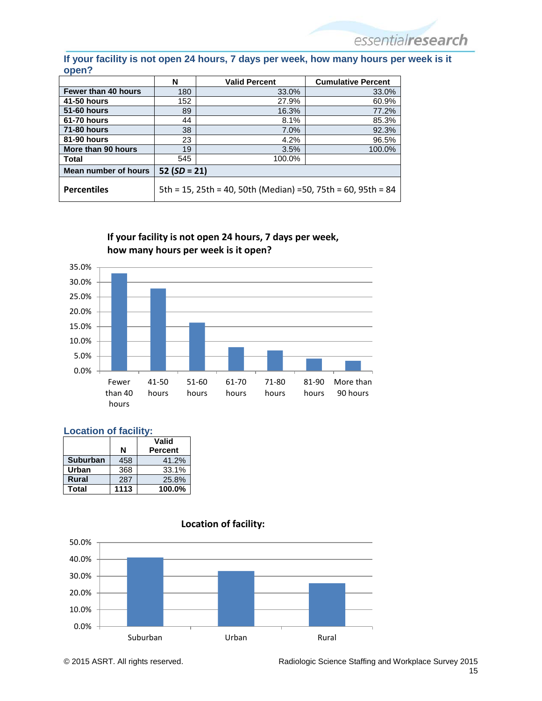#### **If your facility is not open 24 hours, 7 days per week, how many hours per week is it open?**

|                      | N                                                             | <b>Valid Percent</b> | <b>Cumulative Percent</b> |  |  |  |
|----------------------|---------------------------------------------------------------|----------------------|---------------------------|--|--|--|
| Fewer than 40 hours  | 180                                                           | 33.0%                | 33.0%                     |  |  |  |
| <b>41-50 hours</b>   | 152                                                           | 27.9%                | 60.9%                     |  |  |  |
| <b>51-60 hours</b>   | 89                                                            | 16.3%                | 77.2%                     |  |  |  |
| <b>61-70 hours</b>   | 44                                                            | 8.1%                 | 85.3%                     |  |  |  |
| <b>71-80 hours</b>   | 38                                                            | 7.0%                 | 92.3%                     |  |  |  |
| 81-90 hours          | 23                                                            | 4.2%                 | 96.5%                     |  |  |  |
| More than 90 hours   | 19                                                            | 3.5%                 | 100.0%                    |  |  |  |
| <b>Total</b>         | 545                                                           | 100.0%               |                           |  |  |  |
| Mean number of hours | $52(SD = 21)$                                                 |                      |                           |  |  |  |
| <b>Percentiles</b>   | 5th = 15, 25th = 40, 50th (Median) = 50, 75th = 60, 95th = 84 |                      |                           |  |  |  |

**If your facility is not open 24 hours, 7 days per week, how many hours per week is it open?**



#### <span id="page-14-0"></span>**Location of facility:**

|                 |      | Valid          |
|-----------------|------|----------------|
|                 | N    | <b>Percent</b> |
| <b>Suburban</b> | 458  | 41.2%          |
| Urban           | 368  | 33.1%          |
| <b>Rural</b>    | 287  | 25.8%          |
| Total           | 1113 | 100.0%         |



#### **Location of facility:**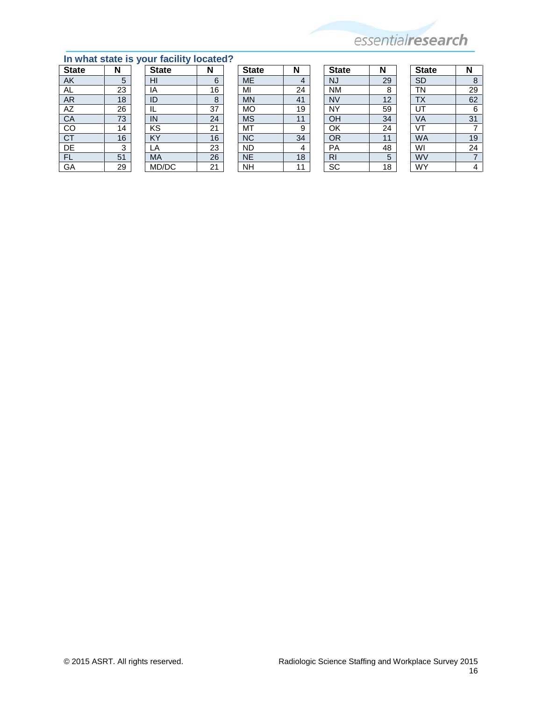

## <span id="page-15-0"></span>**In what state is your facility located?**<br>State **N** State **N**

| <b>State</b> | N  | <b>State</b> | N  | <b>State</b> | N  | <b>State</b>   | N  | <b>State</b>   | N  |
|--------------|----|--------------|----|--------------|----|----------------|----|----------------|----|
| AK           | 5  | HI           | 6  | <b>ME</b>    | 4  | <b>NJ</b>      | 29 | <b>SD</b>      | ö  |
| AL           | 23 | ΙA           | 16 | MI           | 24 | <b>NM</b>      | 8  | TN             | 29 |
| AR.          | 18 | ID           | 8  | MN           | 41 | <b>NV</b>      | 12 | <b>TX</b>      | 62 |
| AZ           | 26 |              | 37 | <b>MO</b>    | 19 | <b>NY</b>      | 59 | UT             | 6  |
| CA           | 73 | IN           | 24 | <b>MS</b>    | 11 | OH             | 34 | VA             | 31 |
| CO           | 14 | KS           | 21 | MT           | 9  | OK             | 24 | V <sup>T</sup> |    |
| <b>CT</b>    | 16 | KY           | 16 | <b>NC</b>    | 34 | OR             | 11 | <b>WA</b>      | 19 |
| DE           | 3  | LA           | 23 | <b>ND</b>    | 4  | PA             | 48 | WI             | 24 |
| <b>FL</b>    | 51 | MA           | 26 | <b>NE</b>    | 18 | R <sub>l</sub> | 5  | WV             |    |
| GA           | 29 | MD/DC        | 21 | <b>NH</b>    | 11 | SC             | 18 | WY             | 4  |

| ∽ |                     |                 |
|---|---------------------|-----------------|
|   | <b>State</b>        | Ν               |
|   | <b>ME</b>           | 4               |
|   | MI                  | 24              |
|   | <b>MN</b>           | $\overline{41}$ |
|   | <b>MO</b>           | 19              |
|   | <b>MS</b>           | 11              |
|   | MT                  | 9               |
|   | <b>NC</b>           | $\frac{34}{4}$  |
|   | <b>ND</b>           |                 |
|   | $\overline{\sf NE}$ | 18              |
|   | ĪЧ                  | 11              |

| <b>State</b>           | Ν  |
|------------------------|----|
| NJ                     | 29 |
| <b>NM</b>              | 8  |
| <b>NV</b>              | 12 |
| NY                     | 59 |
| OH                     | 34 |
| OK                     | 24 |
| <b>OR</b>              | 11 |
| PA                     | 48 |
| RI                     | 5  |
| $\overline{\text{sc}}$ | 18 |

| <b>State</b>            | N  |
|-------------------------|----|
| $\overline{SD}$         | 8  |
| <b>TN</b>               | 29 |
| <b>TX</b>               | 62 |
| UT                      | 6  |
| <b>VA</b>               | 31 |
| VT                      | 7  |
| <b>WA</b>               | 19 |
| $\overline{\mathsf{W}}$ | 24 |
| WV                      | 7  |
| WY                      | 4  |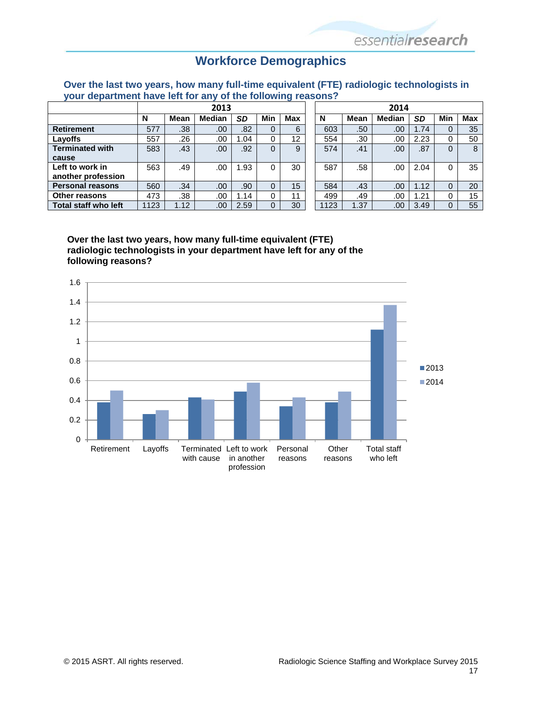### **Workforce Demographics**

<span id="page-16-1"></span><span id="page-16-0"></span>**Over the last two years, how many full-time equivalent (FTE) radiologic technologists in your department have left for any of the following reasons?**

|                             | 2013 |      |               |      |     | 2014 |      |             |        |      |     |     |
|-----------------------------|------|------|---------------|------|-----|------|------|-------------|--------|------|-----|-----|
|                             | N    | Mean | <b>Median</b> | SD   | Min | Max  | N    | <b>Mean</b> | Median | SD   | Min | Max |
| <b>Retirement</b>           | 577  | .38  | .00           | .82  | 0   | 6    | 603  | .50         | .00    | 1.74 | 0   | 35  |
| Layoffs                     | 557  | .26  | .00           | .04  | 0   | 12   | 554  | .30         | .00    | 2.23 |     | 50  |
| <b>Terminated with</b>      | 583  | .43  | .00           | .92  | 0   | 9    | 574  | .41         | .00    | .87  | 0   | 8   |
| cause                       |      |      |               |      |     |      |      |             |        |      |     |     |
| Left to work in             | 563  | .49  | .00           | .93  | 0   | 30   | 587  | .58         | .00    | 2.04 |     | 35  |
| another profession          |      |      |               |      |     |      |      |             |        |      |     |     |
| <b>Personal reasons</b>     | 560  | .34  | .00           | .90  | 0   | 15   | 584  | .43         | .00.   | 1.12 | 0   | 20  |
| <b>Other reasons</b>        | 473  | .38  | .00           | .14  | 0   | 11   | 499  | .49         | .00    | 1.21 |     | 15  |
| <b>Total staff who left</b> | 123  | 1.12 | .00           | 2.59 | 0   | 30   | 1123 | 1.37        | .00    | 3.49 |     | 55  |

**Over the last two years, how many full-time equivalent (FTE) radiologic technologists in your department have left for any of the following reasons?**